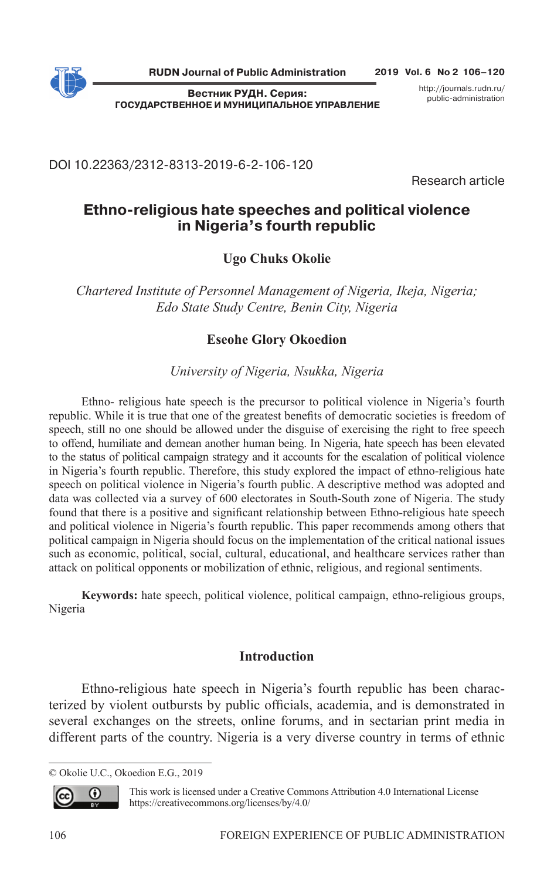

**2019 Vol. 6 No 2 106–120**

**Вестник РУДН. Серия: ГОСУДАРСТВЕННОЕ И МУНИЦИПАЛЬНОЕ УПРАВЛЕНИЕ** http://journals.rudn.ru/ public-administration

DOI 10.22363/2312-8313-2019-6-2-106-120

Research article

# **Ethno-religious hate speeches and political violence in Nigeria's fourth republic**

# **Ugo Chuks Okolie**

*Chartered Institute of Personnel Management of Nigeria, Ikeja, Nigeria; Edo State Study Centre, Benin City, Nigeria*

# **Eseohe Glory Okoedion**

*University of Nigeria, Nsukka, Nigeria*

Ethno- religious hate speech is the precursor to political violence in Nigeria's fourth republic. While it is true that one of the greatest benefits of democratic societies is freedom of speech, still no one should be allowed under the disguise of exercising the right to free speech to offend, humiliate and demean another human being. In Nigeria, hate speech has been elevated to the status of political campaign strategy and it accounts for the escalation of political violence in Nigeria's fourth republic. Therefore, this study explored the impact of ethno-religious hate speech on political violence in Nigeria's fourth public. A descriptive method was adopted and data was collected via a survey of 600 electorates in South-South zone of Nigeria. The study found that there is a positive and significant relationship between Ethno-religious hate speech and political violence in Nigeria's fourth republic. This paper recommends among others that political campaign in Nigeria should focus on the implementation of the critical national issues such as economic, political, social, cultural, educational, and healthcare services rather than attack on political opponents or mobilization of ethnic, religious, and regional sentiments.

**Keywords:** hate speech, political violence, political campaign, ethno-religious groups, Nigeria

### **Introduction**

Ethno-religious hate speech in Nigeria's fourth republic has been characterized by violent outbursts by public officials, academia, and is demonstrated in several exchanges on the streets, online forums, and in sectarian print media in different parts of the country. Nigeria is a very diverse country in terms of ethnic

<sup>©</sup> Okolie U.C., Okoedion E.G., 2019



This work is licensed under a Creative Commons Attribution 4.0 International License https://creativecommons.org/licenses/by/4.0/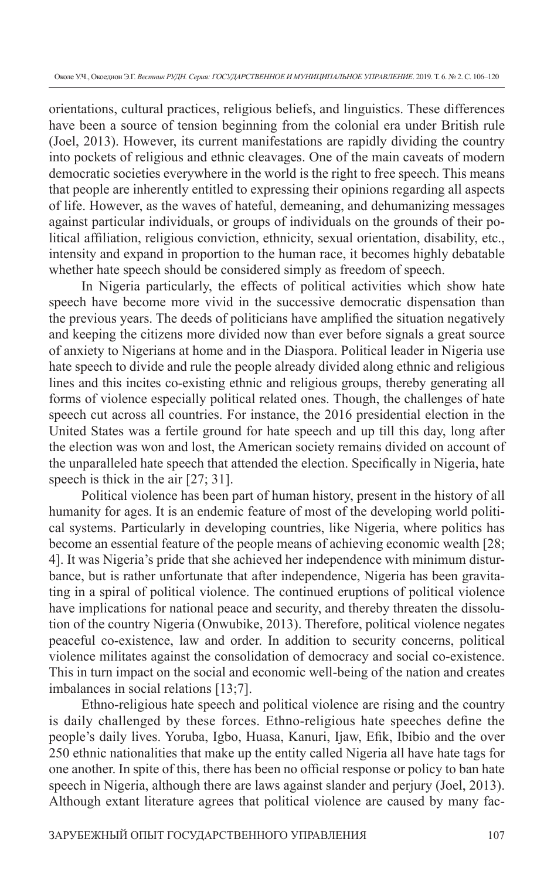orientations, cultural practices, religious beliefs, and linguistics. These differences have been a source of tension beginning from the colonial era under British rule (Joel, 2013). However, its current manifestations are rapidly dividing the country into pockets of religious and ethnic cleavages. One of the main caveats of modern democratic societies everywhere in the world is the right to free speech. This means that people are inherently entitled to expressing their opinions regarding all aspects of life. However, as the waves of hateful, demeaning, and dehumanizing messages against particular individuals, or groups of individuals on the grounds of their political affiliation, religious conviction, ethnicity, sexual orientation, disability, etc., intensity and expand in proportion to the human race, it becomes highly debatable whether hate speech should be considered simply as freedom of speech.

In Nigeria particularly, the effects of political activities which show hate speech have become more vivid in the successive democratic dispensation than the previous years. The deeds of politicians have amplified the situation negatively and keeping the citizens more divided now than ever before signals a great source of anxiety to Nigerians at home and in the Diaspora. Political leader in Nigeria use hate speech to divide and rule the people already divided along ethnic and religious lines and this incites co-existing ethnic and religious groups, thereby generating all forms of violence especially political related ones. Though, the challenges of hate speech cut across all countries. For instance, the 2016 presidential election in the United States was a fertile ground for hate speech and up till this day, long after the election was won and lost, the American society remains divided on account of the unparalleled hate speech that attended the election. Specifically in Nigeria, hate speech is thick in the air [27; 31].

Political violence has been part of human history, present in the history of all humanity for ages. It is an endemic feature of most of the developing world political systems. Particularly in developing countries, like Nigeria, where politics has become an essential feature of the people means of achieving economic wealth [28; 4]. It was Nigeria's pride that she achieved her independence with minimum disturbance, but is rather unfortunate that after independence, Nigeria has been gravitating in a spiral of political violence. The continued eruptions of political violence have implications for national peace and security, and thereby threaten the dissolution of the country Nigeria (Onwubike, 2013). Therefore, political violence negates peaceful co-existence, law and order. In addition to security concerns, political violence militates against the consolidation of democracy and social co-existence. This in turn impact on the social and economic well-being of the nation and creates imbalances in social relations [13;7].

Ethno-religious hate speech and political violence are rising and the country is daily challenged by these forces. Ethno-religious hate speeches define the people's daily lives. Yoruba, Igbo, Huasa, Kanuri, Ijaw, Efik, Ibibio and the over 250 ethnic nationalities that make up the entity called Nigeria all have hate tags for one another. In spite of this, there has been no official response or policy to ban hate speech in Nigeria, although there are laws against slander and perjury (Joel, 2013). Although extant literature agrees that political violence are caused by many fac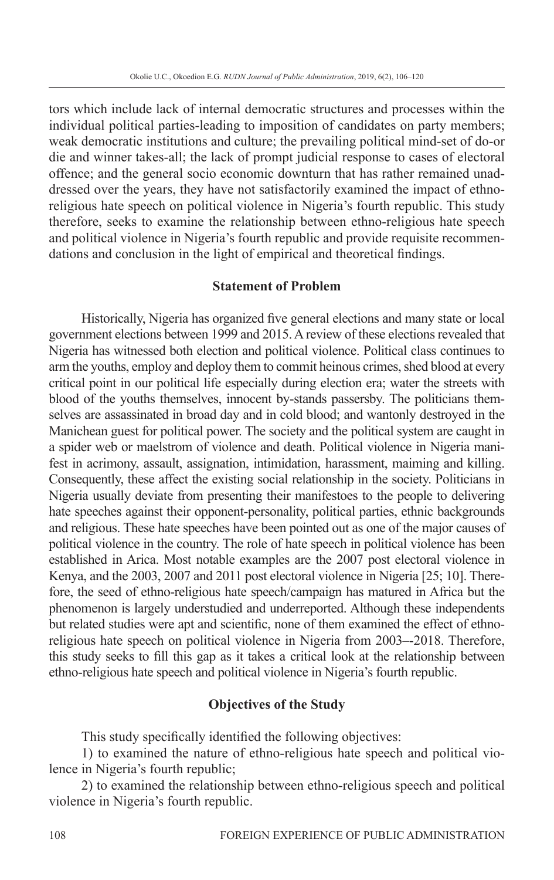tors which include lack of internal democratic structures and processes within the individual political parties-leading to imposition of candidates on party members; weak democratic institutions and culture; the prevailing political mind-set of do-or die and winner takes-all; the lack of prompt judicial response to cases of electoral offence; and the general socio economic downturn that has rather remained unaddressed over the years, they have not satisfactorily examined the impact of ethnoreligious hate speech on political violence in Nigeria's fourth republic. This study therefore, seeks to examine the relationship between ethno-religious hate speech and political violence in Nigeria's fourth republic and provide requisite recommendations and conclusion in the light of empirical and theoretical findings.

### **Statement of Problem**

Historically, Nigeria has organized five general elections and many state or local government elections between 1999 and 2015. A review of these elections revealed that Nigeria has witnessed both election and political violence. Political class continues to arm the youths, employ and deploy them to commit heinous crimes, shed blood at every critical point in our political life especially during election era; water the streets with blood of the youths themselves, innocent by-stands passersby. The politicians themselves are assassinated in broad day and in cold blood; and wantonly destroyed in the Manichean guest for political power. The society and the political system are caught in a spider web or maelstrom of violence and death. Political violence in Nigeria manifest in acrimony, assault, assignation, intimidation, harassment, maiming and killing. Consequently, these affect the existing social relationship in the society. Politicians in Nigeria usually deviate from presenting their manifestoes to the people to delivering hate speeches against their opponent-personality, political parties, ethnic backgrounds and religious. These hate speeches have been pointed out as one of the major causes of political violence in the country. The role of hate speech in political violence has been established in Arica. Most notable examples are the 2007 post electoral violence in Kenya, and the 2003, 2007 and 2011 post electoral violence in Nigeria [25; 10]. Therefore, the seed of ethno-religious hate speech/campaign has matured in Africa but the phenomenon is largely understudied and underreported. Although these independents but related studies were apt and scientific, none of them examined the effect of ethnoreligious hate speech on political violence in Nigeria from 2003–-2018. Therefore, this study seeks to fill this gap as it takes a critical look at the relationship between ethno-religious hate speech and political violence in Nigeria's fourth republic.

### **Objectives of the Study**

This study specifically identified the following objectives:

1) to examined the nature of ethno-religious hate speech and political violence in Nigeria's fourth republic;

2) to examined the relationship between ethno-religious speech and political violence in Nigeria's fourth republic.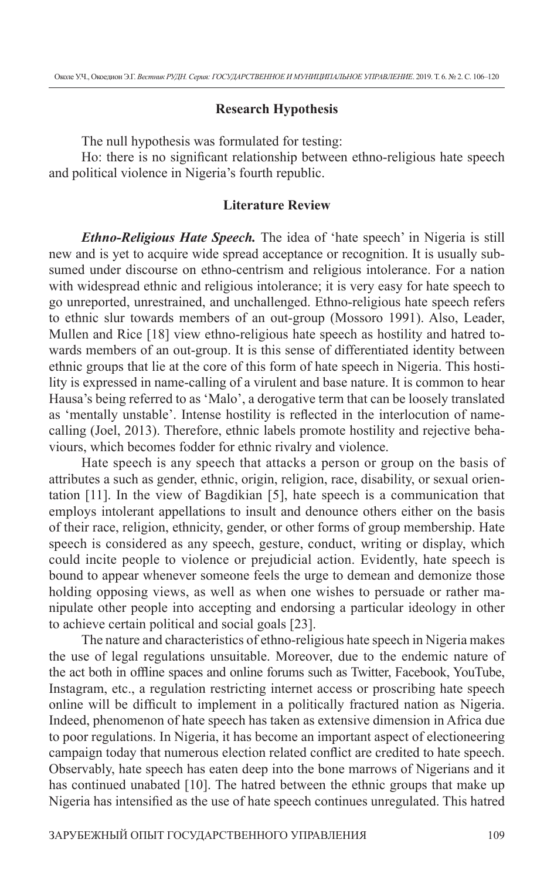#### **Research Hypothesis**

The null hypothesis was formulated for testing:

Ho: there is no significant relationship between ethno-religious hate speech and political violence in Nigeria's fourth republic.

#### **Literature Review**

*Ethno-Religious Hate Speech.* The idea of 'hate speech' in Nigeria is still new and is yet to acquire wide spread acceptance or recognition. It is usually subsumed under discourse on ethno-centrism and religious intolerance. For a nation with widespread ethnic and religious intolerance; it is very easy for hate speech to go unreported, unrestrained, and unchallenged. Ethno-religious hate speech refers to ethnic slur towards members of an out-group (Mossoro 1991). Also, Leader, Mullen and Rice [18] view ethno-religious hate speech as hostility and hatred towards members of an out-group. It is this sense of differentiated identity between ethnic groups that lie at the core of this form of hate speech in Nigeria. This hostility is expressed in name-calling of a virulent and base nature. It is common to hear Hausa's being referred to as 'Malo', a derogative term that can be loosely translated as 'mentally unstable'. Intense hostility is reflected in the interlocution of namecalling (Joel, 2013). Therefore, ethnic labels promote hostility and rejective behaviours, which becomes fodder for ethnic rivalry and violence.

Hate speech is any speech that attacks a person or group on the basis of attributes a such as gender, ethnic, origin, religion, race, disability, or sexual orientation [11]. In the view of Bagdikian [5], hate speech is a communication that employs intolerant appellations to insult and denounce others either on the basis of their race, religion, ethnicity, gender, or other forms of group membership. Hate speech is considered as any speech, gesture, conduct, writing or display, which could incite people to violence or prejudicial action. Evidently, hate speech is bound to appear whenever someone feels the urge to demean and demonize those holding opposing views, as well as when one wishes to persuade or rather manipulate other people into accepting and endorsing a particular ideology in other to achieve certain political and social goals [23].

The nature and characteristics of ethno-religious hate speech in Nigeria makes the use of legal regulations unsuitable. Moreover, due to the endemic nature of the act both in offline spaces and online forums such as Twitter, Facebook, YouTube, Instagram, etc., a regulation restricting internet access or proscribing hate speech online will be difficult to implement in a politically fractured nation as Nigeria. Indeed, phenomenon of hate speech has taken as extensive dimension in Africa due to poor regulations. In Nigeria, it has become an important aspect of electioneering campaign today that numerous election related conflict are credited to hate speech. Observably, hate speech has eaten deep into the bone marrows of Nigerians and it has continued unabated [10]. The hatred between the ethnic groups that make up Nigeria has intensified as the use of hate speech continues unregulated. This hatred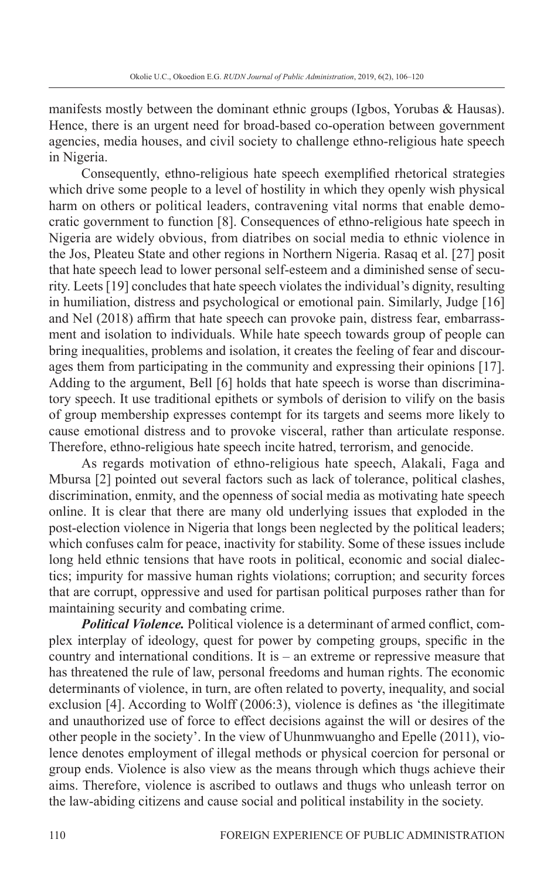manifests mostly between the dominant ethnic groups (Igbos, Yorubas & Hausas). Hence, there is an urgent need for broad-based co-operation between government agencies, media houses, and civil society to challenge ethno-religious hate speech in Nigeria.

Consequently, ethno-religious hate speech exemplified rhetorical strategies which drive some people to a level of hostility in which they openly wish physical harm on others or political leaders, contravening vital norms that enable democratic government to function [8]. Consequences of ethno-religious hate speech in Nigeria are widely obvious, from diatribes on social media to ethnic violence in the Jos, Pleateu State and other regions in Northern Nigeria. Rasaq et al. [27] posit that hate speech lead to lower personal self-esteem and a diminished sense of security. Leets [19] concludes that hate speech violates the individual's dignity, resulting in humiliation, distress and psychological or emotional pain. Similarly, Judge [16] and Nel (2018) affirm that hate speech can provoke pain, distress fear, embarrassment and isolation to individuals. While hate speech towards group of people can bring inequalities, problems and isolation, it creates the feeling of fear and discourages them from participating in the community and expressing their opinions [17]. Adding to the argument, Bell [6] holds that hate speech is worse than discriminatory speech. It use traditional epithets or symbols of derision to vilify on the basis of group membership expresses contempt for its targets and seems more likely to cause emotional distress and to provoke visceral, rather than articulate response. Therefore, ethno-religious hate speech incite hatred, terrorism, and genocide.

As regards motivation of ethno-religious hate speech, Alakali, Faga and Mbursa [2] pointed out several factors such as lack of tolerance, political clashes, discrimination, enmity, and the openness of social media as motivating hate speech online. It is clear that there are many old underlying issues that exploded in the post-election violence in Nigeria that longs been neglected by the political leaders; which confuses calm for peace, inactivity for stability. Some of these issues include long held ethnic tensions that have roots in political, economic and social dialectics; impurity for massive human rights violations; corruption; and security forces that are corrupt, oppressive and used for partisan political purposes rather than for maintaining security and combating crime.

**Political Violence.** Political violence is a determinant of armed conflict, complex interplay of ideology, quest for power by competing groups, specific in the country and international conditions. It is – an extreme or repressive measure that has threatened the rule of law, personal freedoms and human rights. The economic determinants of violence, in turn, are often related to poverty, inequality, and social exclusion  $[4]$ . According to Wolff (2006:3), violence is defines as 'the illegitimate and unauthorized use of force to effect decisions against the will or desires of the other people in the society'. In the view of Uhunmwuangho and Epelle (2011), violence denotes employment of illegal methods or physical coercion for personal or group ends. Violence is also view as the means through which thugs achieve their aims. Therefore, violence is ascribed to outlaws and thugs who unleash terror on the law-abiding citizens and cause social and political instability in the society.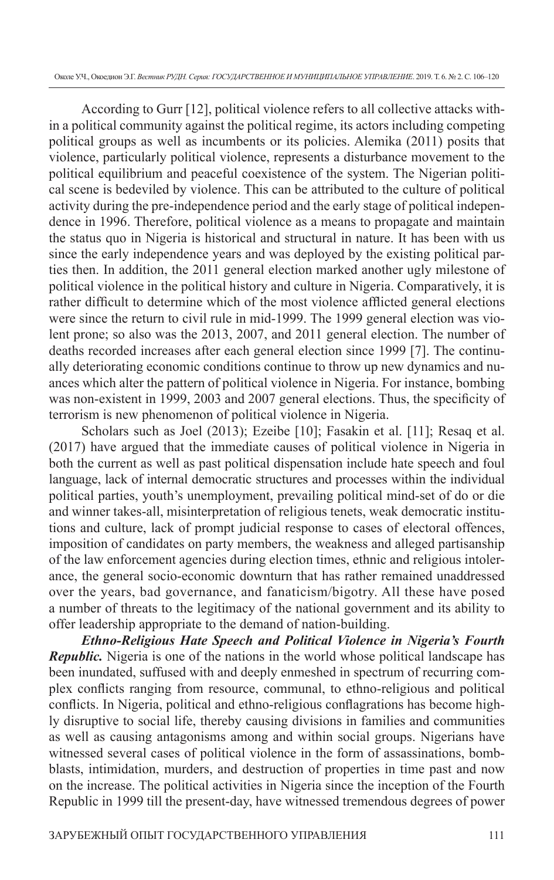According to Gurr [12], political violence refers to all collective attacks within a political community against the political regime, its actors including competing political groups as well as incumbents or its policies. Alemika (2011) posits that violence, particularly political violence, represents a disturbance movement to the political equilibrium and peaceful coexistence of the system. The Nigerian political scene is bedeviled by violence. This can be attributed to the culture of political activity during the pre-independence period and the early stage of political independence in 1996. Therefore, political violence as a means to propagate and maintain the status quo in Nigeria is historical and structural in nature. It has been with us since the early independence years and was deployed by the existing political parties then. In addition, the 2011 general election marked another ugly milestone of political violence in the political history and culture in Nigeria. Comparatively, it is rather difficult to determine which of the most violence afflicted general elections were since the return to civil rule in mid-1999. The 1999 general election was violent prone; so also was the 2013, 2007, and 2011 general election. The number of deaths recorded increases after each general election since 1999 [7]. The continually deteriorating economic conditions continue to throw up new dynamics and nuances which alter the pattern of political violence in Nigeria. For instance, bombing was non-existent in 1999, 2003 and 2007 general elections. Thus, the specificity of terrorism is new phenomenon of political violence in Nigeria.

Scholars such as Joel (2013); Ezeibe [10]; Fasakin et al. [11]; Resaq et al. (2017) have argued that the immediate causes of political violence in Nigeria in both the current as well as past political dispensation include hate speech and foul language, lack of internal democratic structures and processes within the individual political parties, youth's unemployment, prevailing political mind-set of do or die and winner takes-all, misinterpretation of religious tenets, weak democratic institutions and culture, lack of prompt judicial response to cases of electoral offences, imposition of candidates on party members, the weakness and alleged partisanship of the law enforcement agencies during election times, ethnic and religious intolerance, the general socio-economic downturn that has rather remained unaddressed over the years, bad governance, and fanaticism/bigotry. All these have posed a number of threats to the legitimacy of the national government and its ability to offer leadership appropriate to the demand of nation-building.

*Ethno-Religious Hate Speech and Political Violence in Nigeria's Fourth Republic.* Nigeria is one of the nations in the world whose political landscape has been inundated, suffused with and deeply enmeshed in spectrum of recurring complex conflicts ranging from resource, communal, to ethno-religious and political conflicts. In Nigeria, political and ethno-religious conflagrations has become highly disruptive to social life, thereby causing divisions in families and communities as well as causing antagonisms among and within social groups. Nigerians have witnessed several cases of political violence in the form of assassinations, bombblasts, intimidation, murders, and destruction of properties in time past and now on the increase. The political activities in Nigeria since the inception of the Fourth Republic in 1999 till the present-day, have witnessed tremendous degrees of power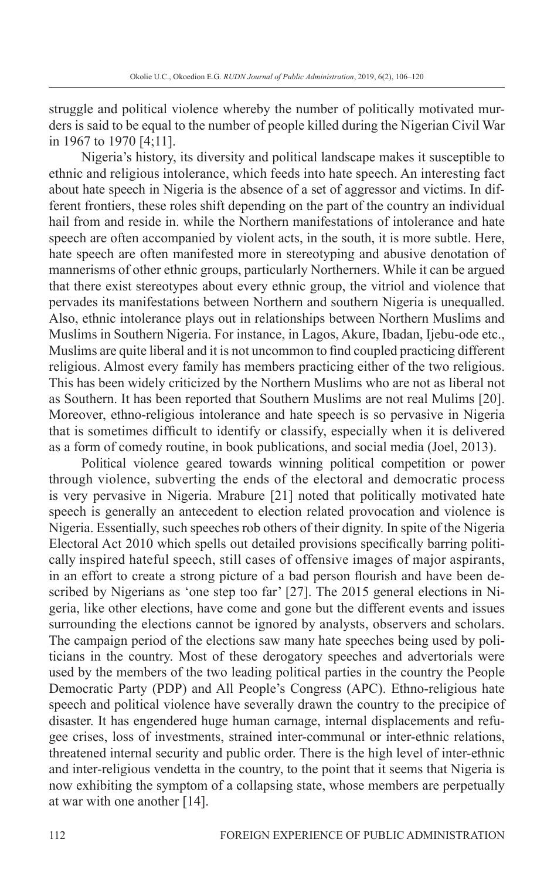struggle and political violence whereby the number of politically motivated murders is said to be equal to the number of people killed during the Nigerian Civil War in 1967 to 1970 [4;11].

Nigeria's history, its diversity and political landscape makes it susceptible to ethnic and religious intolerance, which feeds into hate speech. An interesting fact about hate speech in Nigeria is the absence of a set of aggressor and victims. In different frontiers, these roles shift depending on the part of the country an individual hail from and reside in. while the Northern manifestations of intolerance and hate speech are often accompanied by violent acts, in the south, it is more subtle. Here, hate speech are often manifested more in stereotyping and abusive denotation of mannerisms of other ethnic groups, particularly Northerners. While it can be argued that there exist stereotypes about every ethnic group, the vitriol and violence that pervades its manifestations between Northern and southern Nigeria is unequalled. Also, ethnic intolerance plays out in relationships between Northern Muslims and Muslims in Southern Nigeria. For instance, in Lagos, Akure, Ibadan, Ijebu-ode etc., Muslims are quite liberal and it is not uncommon to find coupled practicing different religious. Almost every family has members practicing either of the two religious. This has been widely criticized by the Northern Muslims who are not as liberal not as Southern. It has been reported that Southern Muslims are not real Mulims [20]. Moreover, ethno-religious intolerance and hate speech is so pervasive in Nigeria that is sometimes difficult to identify or classify, especially when it is delivered as a form of comedy routine, in book publications, and social media (Joel, 2013).

Political violence geared towards winning political competition or power through violence, subverting the ends of the electoral and democratic process is very pervasive in Nigeria. Mrabure [21] noted that politically motivated hate speech is generally an antecedent to election related provocation and violence is Nigeria. Essentially, such speeches rob others of their dignity. In spite of the Nigeria Electoral Act 2010 which spells out detailed provisions specifically barring politically inspired hateful speech, still cases of offensive images of major aspirants, in an effort to create a strong picture of a bad person flourish and have been described by Nigerians as 'one step too far' [27]. The 2015 general elections in Nigeria, like other elections, have come and gone but the different events and issues surrounding the elections cannot be ignored by analysts, observers and scholars. The campaign period of the elections saw many hate speeches being used by politicians in the country. Most of these derogatory speeches and advertorials were used by the members of the two leading political parties in the country the People Democratic Party (PDP) and All People's Congress (APC). Ethno-religious hate speech and political violence have severally drawn the country to the precipice of disaster. It has engendered huge human carnage, internal displacements and refugee crises, loss of investments, strained inter-communal or inter-ethnic relations, threatened internal security and public order. There is the high level of inter-ethnic and inter-religious vendetta in the country, to the point that it seems that Nigeria is now exhibiting the symptom of a collapsing state, whose members are perpetually at war with one another [14].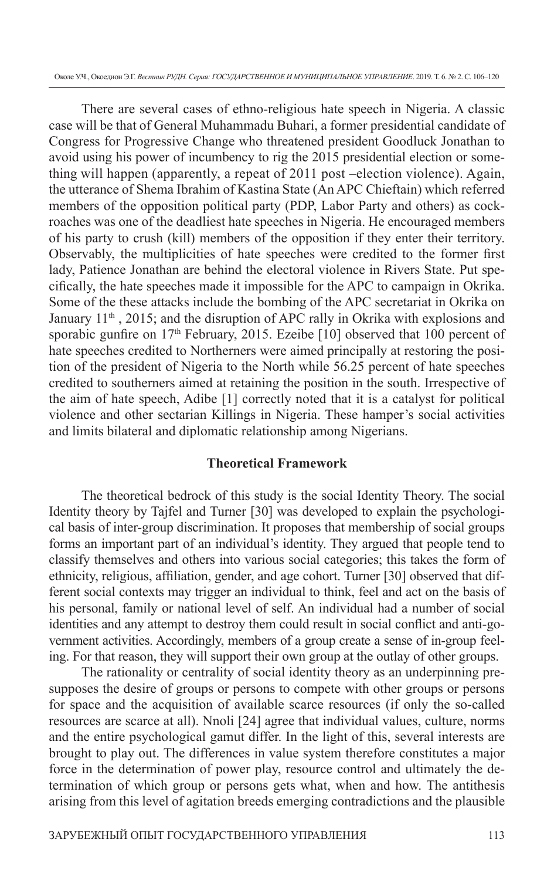Околе У.Ч., Окоедион Э.Г. *Вестник РУДН. Серия: ГОСУДАРСТВЕННОЕ И МУНИЦИПАЛЬНОЕ УПРАВЛЕНИЕ*. 2019. Т. 6. № 2. С. 106–120

There are several cases of ethno-religious hate speech in Nigeria. A classic case will be that of General Muhammadu Buhari, a former presidential candidate of Congress for Progressive Change who threatened president Goodluck Jonathan to avoid using his power of incumbency to rig the 2015 presidential election or something will happen (apparently, a repeat of 2011 post –election violence). Again, the utterance of Shema Ibrahim of Kastina State (An APC Chieftain) which referred members of the opposition political party (PDP, Labor Party and others) as cockroaches was one of the deadliest hate speeches in Nigeria. He encouraged members of his party to crush (kill) members of the opposition if they enter their territory. Observably, the multiplicities of hate speeches were credited to the former first lady, Patience Jonathan are behind the electoral violence in Rivers State. Put specifi cally, the hate speeches made it impossible for the APC to campaign in Okrika. Some of the these attacks include the bombing of the APC secretariat in Okrika on January 11<sup>th</sup>, 2015; and the disruption of APC rally in Okrika with explosions and sporabic gunfire on  $17<sup>th</sup>$  February, 2015. Ezeibe [10] observed that 100 percent of hate speeches credited to Northerners were aimed principally at restoring the position of the president of Nigeria to the North while 56.25 percent of hate speeches credited to southerners aimed at retaining the position in the south. Irrespective of the aim of hate speech, Adibe [1] correctly noted that it is a catalyst for political violence and other sectarian Killings in Nigeria. These hamper's social activities and limits bilateral and diplomatic relationship among Nigerians.

### **Theoretical Framework**

The theoretical bedrock of this study is the social Identity Theory. The social Identity theory by Tajfel and Turner [30] was developed to explain the psychological basis of inter-group discrimination. It proposes that membership of social groups forms an important part of an individual's identity. They argued that people tend to classify themselves and others into various social categories; this takes the form of ethnicity, religious, affiliation, gender, and age cohort. Turner [30] observed that different social contexts may trigger an individual to think, feel and act on the basis of his personal, family or national level of self. An individual had a number of social identities and any attempt to destroy them could result in social conflict and anti-government activities. Accordingly, members of a group create a sense of in-group feeling. For that reason, they will support their own group at the outlay of other groups.

The rationality or centrality of social identity theory as an underpinning presupposes the desire of groups or persons to compete with other groups or persons for space and the acquisition of available scarce resources (if only the so-called resources are scarce at all). Nnoli [24] agree that individual values, culture, norms and the entire psychological gamut differ. In the light of this, several interests are brought to play out. The differences in value system therefore constitutes a major force in the determination of power play, resource control and ultimately the determination of which group or persons gets what, when and how. The antithesis arising from this level of agitation breeds emerging contradictions and the plausible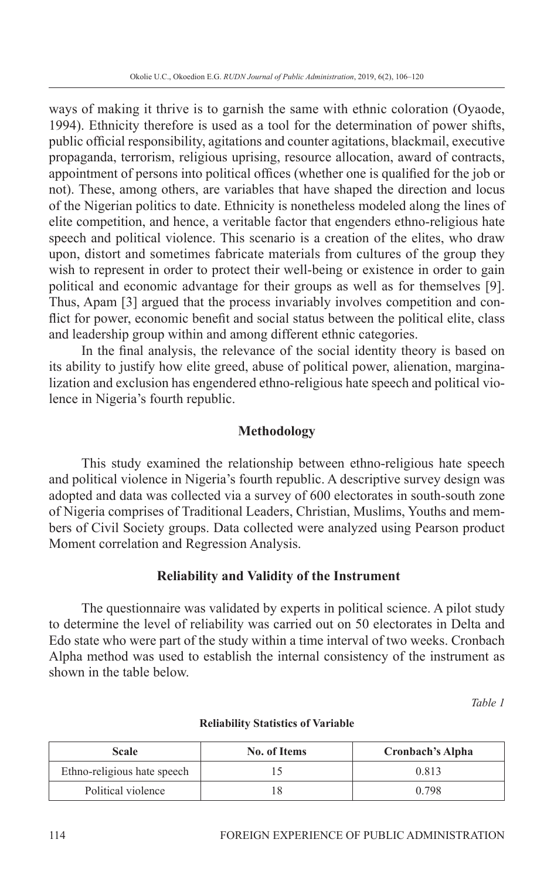ways of making it thrive is to garnish the same with ethnic coloration (Oyaode, 1994). Ethnicity therefore is used as a tool for the determination of power shifts, public official responsibility, agitations and counter agitations, blackmail, executive propaganda, terrorism, religious uprising, resource allocation, award of contracts, appointment of persons into political offices (whether one is qualified for the job or not). These, among others, are variables that have shaped the direction and locus of the Nigerian politics to date. Ethnicity is nonetheless modeled along the lines of elite competition, and hence, a veritable factor that engenders ethno-religious hate speech and political violence. This scenario is a creation of the elites, who draw upon, distort and sometimes fabricate materials from cultures of the group they wish to represent in order to protect their well-being or existence in order to gain political and economic advantage for their groups as well as for themselves [9]. Thus, Apam [3] argued that the process invariably involves competition and conflict for power, economic benefit and social status between the political elite, class and leadership group within and among different ethnic categories.

In the final analysis, the relevance of the social identity theory is based on its ability to justify how elite greed, abuse of political power, alienation, marginalization and exclusion has engendered ethno-religious hate speech and political violence in Nigeria's fourth republic.

# **Methodology**

This study examined the relationship between ethno-religious hate speech and political violence in Nigeria's fourth republic. A descriptive survey design was adopted and data was collected via a survey of 600 electorates in south-south zone of Nigeria comprises of Traditional Leaders, Christian, Muslims, Youths and members of Civil Society groups. Data collected were analyzed using Pearson product Moment correlation and Regression Analysis.

### **Reliability and Validity of the Instrument**

The questionnaire was validated by experts in political science. A pilot study to determine the level of reliability was carried out on 50 electorates in Delta and Edo state who were part of the study within a time interval of two weeks. Cronbach Alpha method was used to establish the internal consistency of the instrument as shown in the table below.

*Table 1*

| <b>Scale</b>                | <b>No. of Items</b> | Cronbach's Alpha |  |
|-----------------------------|---------------------|------------------|--|
| Ethno-religious hate speech |                     | 0.813            |  |
| Political violence          |                     | 0.798            |  |

#### **Reliability Statistics of Variable**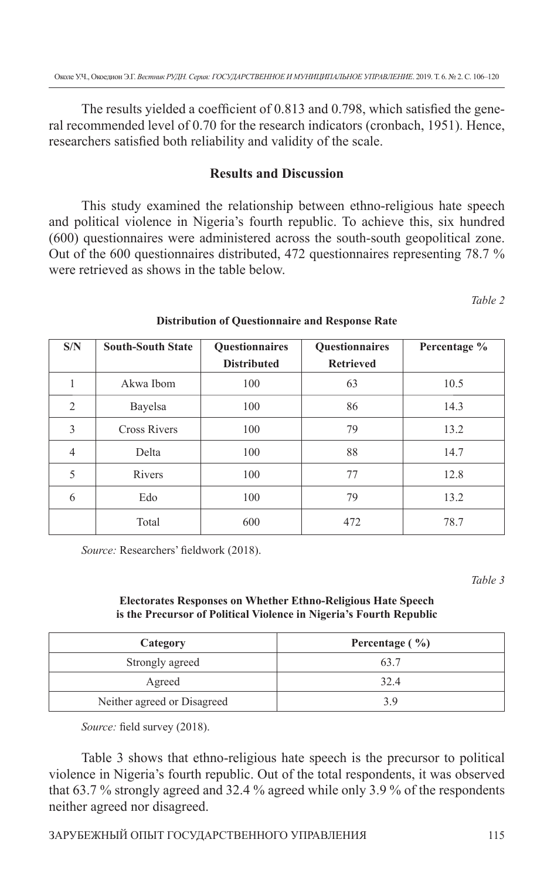The results yielded a coefficient of 0.813 and 0.798, which satisfied the general recommended level of 0.70 for the research indicators (cronbach, 1951). Hence, researchers satisfied both reliability and validity of the scale.

# **Results and Discussion**

This study examined the relationship between ethno-religious hate speech and political violence in Nigeria's fourth republic. To achieve this, six hundred (600) questionnaires were administered across the south-south geopolitical zone. Out of the 600 questionnaires distributed, 472 questionnaires representing 78.7 % were retrieved as shows in the table below.

*Table 2*

| S/N<br><b>South-South State</b> |                     | Questionnaires<br>Questionnaires |                  | Percentage % |  |
|---------------------------------|---------------------|----------------------------------|------------------|--------------|--|
|                                 |                     | <b>Distributed</b>               | <b>Retrieved</b> |              |  |
|                                 | Akwa Ibom           | 100                              | 63               | 10.5         |  |
| 2                               | Bayelsa             | 100                              | 86               | 14.3         |  |
| 3                               | <b>Cross Rivers</b> | 100                              | 79               | 13.2         |  |
| $\overline{4}$                  | Delta               | 100                              | 88               | 14.7         |  |
| 5                               | Rivers              | 100                              | 77               | 12.8         |  |
| 6                               | Edo                 | 100                              | 79               | 13.2         |  |
|                                 | Total               | 600                              | 472              | 78.7         |  |

### **Distribution of Questionnaire and Response Rate**

*Source: Researchers' fieldwork (2018).* 

*Table 3*

### **Electorates Responses on Whether Ethno-Religious Hate Speech is the Precursor of Political Violence in Nigeria's Fourth Republic**

| Category                    | Percentage $(\frac{9}{6})$ |  |
|-----------------------------|----------------------------|--|
| Strongly agreed             | 63.7                       |  |
| Agreed                      | 32.4                       |  |
| Neither agreed or Disagreed | 3 Y                        |  |

*Source:* field survey (2018).

Table 3 shows that ethno-religious hate speech is the precursor to political violence in Nigeria's fourth republic. Out of the total respondents, it was observed that 63.7 % strongly agreed and 32.4 % agreed while only 3.9 % of the respondents neither agreed nor disagreed.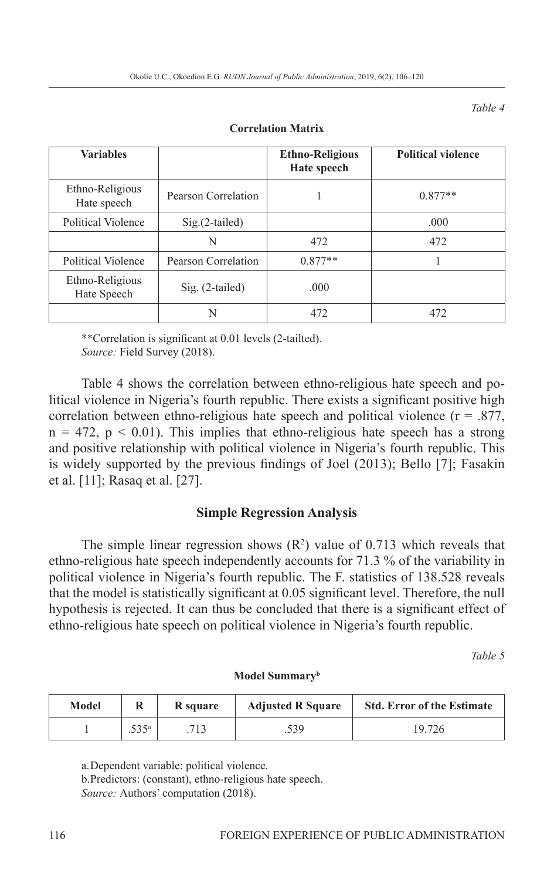*Table 4*

| <b>Variables</b>               |                     | <b>Ethno-Religious</b><br>Hate speech | <b>Political violence</b> |
|--------------------------------|---------------------|---------------------------------------|---------------------------|
| Ethno-Religious<br>Hate speech | Pearson Correlation |                                       | $0.877**$                 |
| Political Violence             | $Sig.(2-tailed)$    |                                       | .000                      |
|                                | N                   | 472                                   | 472                       |
| Political Violence             | Pearson Correlation | $0.877**$                             |                           |
| Ethno-Religious<br>Hate Speech | Sig. (2-tailed)     | .000                                  |                           |
|                                | N                   | 472                                   | 472                       |

#### **Correlation Matrix**

\*\*Correlation is significant at 0.01 levels (2-tailted).

*Source:* Field Survey (2018).

Table 4 shows the correlation between ethno-religious hate speech and political violence in Nigeria's fourth republic. There exists a significant positive high correlation between ethno-religious hate speech and political violence  $(r = .877)$ ,  $n = 472$ ,  $p < 0.01$ ). This implies that ethno-religious hate speech has a strong and positive relationship with political violence in Nigeria's fourth republic. This is widely supported by the previous findings of Joel  $(2013)$ ; Bello [7]; Fasakin et al. [11]; Rasaq et al. [27].

### **Simple Regression Analysis**

The simple linear regression shows  $(R^2)$  value of 0.713 which reveals that ethno-religious hate speech independently accounts for 71.3 % of the variability in political violence in Nigeria's fourth republic. The F. statistics of 138.528 reveals that the model is statistically significant at 0.05 significant level. Therefore, the null hypothesis is rejected. It can thus be concluded that there is a significant effect of ethno-religious hate speech on political violence in Nigeria's fourth republic.

*Table 5*

| Model Summary <sup>b</sup> |  |
|----------------------------|--|
|                            |  |

| Model |      | R square | <b>Adjusted R Square</b> | <b>Std. Error of the Estimate</b> |
|-------|------|----------|--------------------------|-----------------------------------|
|       | 525a | 713      | .539                     | 19.726                            |

a. Dependent variable: political violence.

b. Predictors: (constant), ethno-religious hate speech. *Source:* Authors' computation (2018).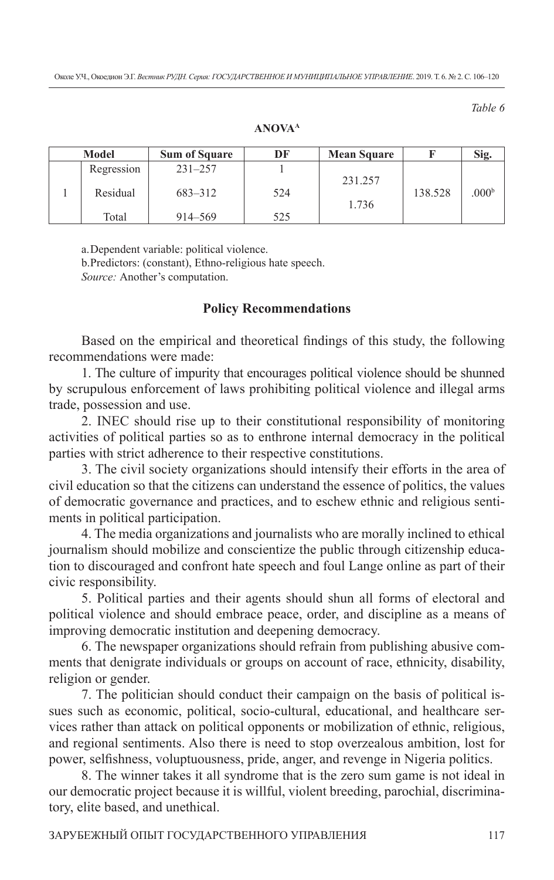*Table 6*

| Model      | <b>Sum of Square</b> | DF  | <b>Mean Square</b> |         | Sig.              |
|------------|----------------------|-----|--------------------|---------|-------------------|
| Regression | $231 - 257$          |     |                    | 138.528 | .000 <sup>b</sup> |
| Residual   | 683-312              | 524 | 231.257<br>1.736   |         |                   |
| Total      | 914–569              | 525 |                    |         |                   |

**ANOVAA**

a. Dependent variable: political violence.

b. Predictors: (constant), Ethno-religious hate speech. *Source:* Another's computation.

### **Policy Recommendations**

Based on the empirical and theoretical findings of this study, the following recommendations were made:

1. The culture of impurity that encourages political violence should be shunned by scrupulous enforcement of laws prohibiting political violence and illegal arms trade, possession and use.

2. INEC should rise up to their constitutional responsibility of monitoring activities of political parties so as to enthrone internal democracy in the political parties with strict adherence to their respective constitutions.

3. The civil society organizations should intensify their efforts in the area of civil education so that the citizens can understand the essence of politics, the values of democratic governance and practices, and to eschew ethnic and religious sentiments in political participation.

4. The media organizations and journalists who are morally inclined to ethical journalism should mobilize and conscientize the public through citizenship education to discouraged and confront hate speech and foul Lange online as part of their civic responsibility.

5. Political parties and their agents should shun all forms of electoral and political violence and should embrace peace, order, and discipline as a means of improving democratic institution and deepening democracy.

6. The newspaper organizations should refrain from publishing abusive comments that denigrate individuals or groups on account of race, ethnicity, disability, religion or gender.

7. The politician should conduct their campaign on the basis of political issues such as economic, political, socio-cultural, educational, and healthcare services rather than attack on political opponents or mobilization of ethnic, religious, and regional sentiments. Also there is need to stop overzealous ambition, lost for power, selfishness, voluptuousness, pride, anger, and revenge in Nigeria politics.

8. The winner takes it all syndrome that is the zero sum game is not ideal in our democratic project because it is willful, violent breeding, parochial, discriminatory, elite based, and unethical.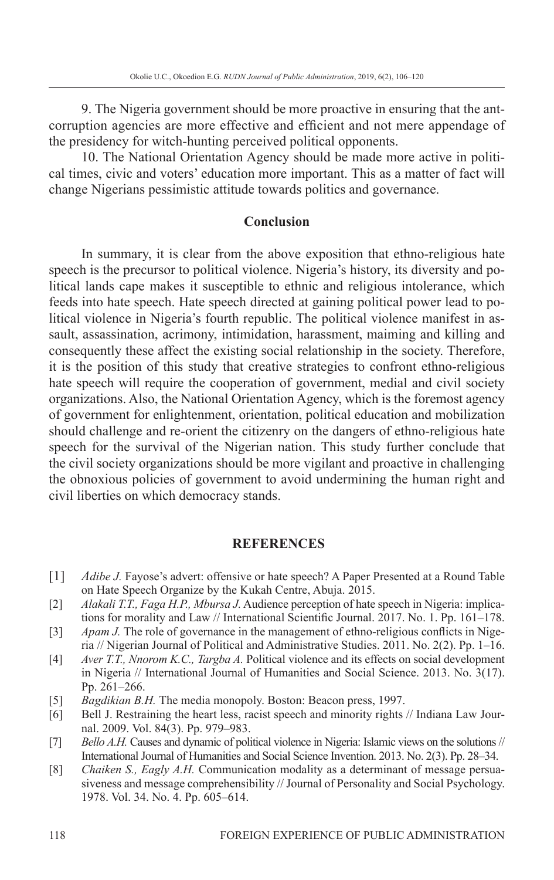9. The Nigeria government should be more proactive in ensuring that the antcorruption agencies are more effective and efficient and not mere appendage of the presidency for witch-hunting perceived political opponents.

10. The National Orientation Agency should be made more active in political times, civic and voters' education more important. This as a matter of fact will change Nigerians pessimistic attitude towards politics and governance.

### **Conclusion**

In summary, it is clear from the above exposition that ethno-religious hate speech is the precursor to political violence. Nigeria's history, its diversity and political lands cape makes it susceptible to ethnic and religious intolerance, which feeds into hate speech. Hate speech directed at gaining political power lead to political violence in Nigeria's fourth republic. The political violence manifest in assault, assassination, acrimony, intimidation, harassment, maiming and killing and consequently these affect the existing social relationship in the society. Therefore, it is the position of this study that creative strategies to confront ethno-religious hate speech will require the cooperation of government, medial and civil society organizations. Also, the National Orientation Agency, which is the foremost agency of government for enlightenment, orientation, political education and mobilization should challenge and re-orient the citizenry on the dangers of ethno-religious hate speech for the survival of the Nigerian nation. This study further conclude that the civil society organizations should be more vigilant and proactive in challenging the obnoxious policies of government to avoid undermining the human right and civil liberties on which democracy stands.

### **REFERENCES**

- [1] *Adibe J.* Fayose's advert: offensive or hate speech? A Paper Presented at a Round Table on Hate Speech Organize by the Kukah Centre, Abuja. 2015.
- [2] *Alakali T.T., Faga H.P., Mbursa J.* Audience perception of hate speech in Nigeria: implications for morality and Law // International Scientific Journal. 2017. No. 1. Pp. 161–178.
- [3] *Apam J.* The role of governance in the management of ethno-religious conflicts in Nigeria // Nigerian Journal of Political and Administrative Studies. 2011. No. 2(2). Pp. 1–16.
- [4] *Aver T.T., Nnorom K.C., Targba A.* Political violence and its effects on social development in Nigeria // International Journal of Humanities and Social Science. 2013. No. 3(17). Pp. 261–266.
- [5] *Bagdikian B.H.* The media monopoly. Boston: Beacon press, 1997.
- [6] Bell J. Restraining the heart less, racist speech and minority rights // Indiana Law Journal. 2009. Vol. 84(3). Pp. 979–983.
- [7] *Bello A.H.* Causes and dynamic of political violence in Nigeria: Islamic views on the solutions // International Journal of Humanities and Social Science Invention. 2013. No. 2(3). Pp. 28–34.
- [8] *Chaiken S., Eagly A.H.* Communication modality as a determinant of message persuasiveness and message comprehensibility // Journal of Personality and Social Psychology. 1978. Vol. 34. No. 4. Pp. 605–614.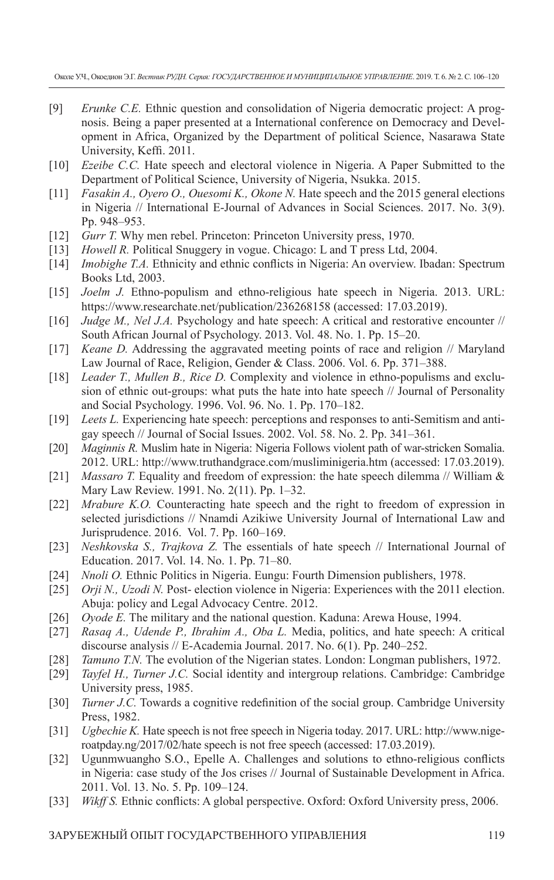Околе У.Ч., Окоедион Э.Г. *Вестник РУДН. Серия: ГОСУДАРСТВЕННОЕ И МУНИЦИПАЛЬНОЕ УПРАВЛЕНИЕ*. 2019. Т. 6. № 2. С. 106–120

- [9] *Erunke C.E.* Ethnic question and consolidation of Nigeria democratic project: A prognosis. Being a paper presented at a International conference on Democracy and Development in Africa, Organized by the Department of political Science, Nasarawa State University, Keffi. 2011.
- [10] *Ezeibe C.C.* Hate speech and electoral violence in Nigeria. A Paper Submitted to the Department of Political Science, University of Nigeria, Nsukka. 2015.
- [11] *Fasakin A., Oyero O., Ouesomi K., Okone N.* Hate speech and the 2015 general elections in Nigeria // International E-Journal of Advances in Social Sciences. 2017. No. 3(9). Pp. 948–953.
- [12] *Gurr T.* Why men rebel. Princeton: Princeton University press, 1970.
- [13] *Howell R. Political Snuggery in vogue. Chicago: L and T press Ltd, 2004.*
- [14] *Imobighe T.A.* Ethnicity and ethnic conflicts in Nigeria: An overview. Ibadan: Spectrum Books Ltd, 2003.
- [15] *Joelm J.* Ethno-populism and ethno-religious hate speech in Nigeria. 2013. URL: https://www.researchate.net/publication/236268158 (accessed: 17.03.2019).
- [16] *Judge M., Nel J.A.* Psychology and hate speech: A critical and restorative encounter // South African Journal of Psychology. 2013. Vol. 48. No. 1. Pp. 15–20.
- [17] *Keane D.* Addressing the aggravated meeting points of race and religion // Maryland Law Journal of Race, Religion, Gender & Class. 2006. Vol. 6. Pp. 371–388.
- [18] *Leader T., Mullen B., Rice D.* Complexity and violence in ethno-populisms and exclusion of ethnic out-groups: what puts the hate into hate speech // Journal of Personality and Social Psychology. 1996. Vol. 96. No. 1. Pp. 170–182.
- [19] *Leets L.* Experiencing hate speech: perceptions and responses to anti-Semitism and antigay speech // Journal of Social Issues. 2002. Vol. 58. No. 2. Pp. 341–361.
- [20] *Maginnis R.* Muslim hate in Nigeria: Nigeria Follows violent path of war-stricken Somalia. 2012. URL: http://www.truthandgrace.com/musliminigeria.htm (accessed: 17.03.2019).
- [21] *Massaro T.* Equality and freedom of expression: the hate speech dilemma // William & Mary Law Review. 1991. No. 2(11). Pp. 1–32.
- [22] *Mrabure K.O.* Counteracting hate speech and the right to freedom of expression in selected jurisdictions // Nnamdi Azikiwe University Journal of International Law and Jurisprudence. 2016. Vol. 7. Pp. 160–169.
- [23] *Neshkovska S., Trajkova Z.* The essentials of hate speech // International Journal of Education. 2017. Vol. 14. No. 1. Pp. 71–80.
- [24] *Nnoli O.* Ethnic Politics in Nigeria. Eungu: Fourth Dimension publishers, 1978.
- [25] *Orji N., Uzodi N.* Post- election violence in Nigeria: Experiences with the 2011 election. Abuja: policy and Legal Advocacy Centre. 2012.
- [26] *Oyode E.* The military and the national question. Kaduna: Arewa House, 1994.
- [27] *Rasaq A., Udende P., Ibrahim A., Oba L.* Media, politics, and hate speech: A critical discourse analysis // E-Academia Journal. 2017. No. 6(1). Pp. 240–252.
- [28] *Tamuno T.N.* The evolution of the Nigerian states. London: Longman publishers, 1972.
- [29] *Tayfel H., Turner J.C.* Social identity and intergroup relations. Cambridge: Cambridge University press, 1985.
- [30] *Turner J.C.* Towards a cognitive redefinition of the social group. Cambridge University Press, 1982.
- [31] *Ugbechie K.* Hate speech is not free speech in Nigeria today. 2017. URL: http://www.nigeroatpday.ng/2017/02/hate speech is not free speech (accessed: 17.03.2019).
- [32] Ugunmwuangho S.O., Epelle A. Challenges and solutions to ethno-religious conflicts in Nigeria: case study of the Jos crises // Journal of Sustainable Development in Africa. 2011. Vol. 13. No. 5. Pp. 109–124.
- [33] *Wikff S.* Ethnic conflicts: A global perspective. Oxford: Oxford University press, 2006.